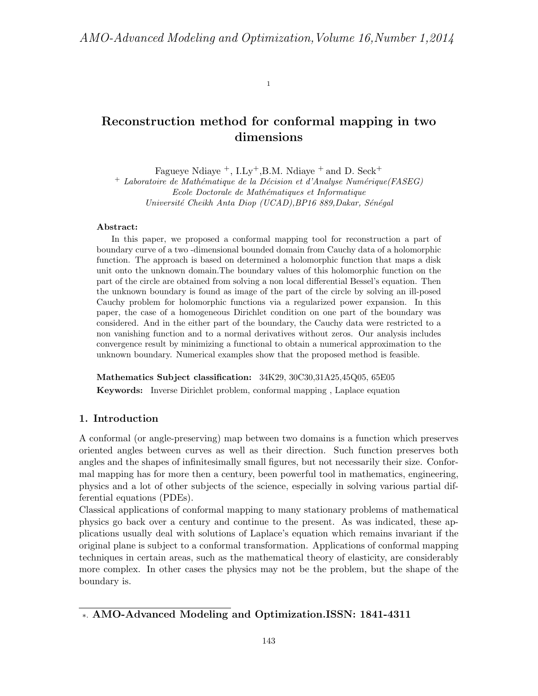1

# Reconstruction method for conformal mapping in two dimensions

Fagueye Ndiaye  $^+$ , I.Ly<sup>+</sup>, B.M. Ndiaye  $^+$  and D. Seck<sup>+</sup>

+ Laboratoire de Mathématique de la Décision et d'Analyse Numérique(FASEG) Ecole Doctorale de Mathématiques et Informatique Université Cheikh Anta Diop (UCAD), BP16 889, Dakar, Sénégal

#### Abstract:

In this paper, we proposed a conformal mapping tool for reconstruction a part of boundary curve of a two -dimensional bounded domain from Cauchy data of a holomorphic function. The approach is based on determined a holomorphic function that maps a disk unit onto the unknown domain.The boundary values of this holomorphic function on the part of the circle are obtained from solving a non local differential Bessel's equation. Then the unknown boundary is found as image of the part of the circle by solving an ill-posed Cauchy problem for holomorphic functions via a regularized power expansion. In this paper, the case of a homogeneous Dirichlet condition on one part of the boundary was considered. And in the either part of the boundary, the Cauchy data were restricted to a non vanishing function and to a normal derivatives without zeros. Our analysis includes convergence result by minimizing a functional to obtain a numerical approximation to the unknown boundary. Numerical examples show that the proposed method is feasible.

Mathematics Subject classification: 34K29, 30C30,31A25,45Q05, 65E05 Keywords: Inverse Dirichlet problem, conformal mapping , Laplace equation

## 1. Introduction

A conformal (or angle-preserving) map between two domains is a function which preserves oriented angles between curves as well as their direction. Such function preserves both angles and the shapes of infinitesimally small figures, but not necessarily their size. Conformal mapping has for more then a century, been powerful tool in mathematics, engineering, physics and a lot of other subjects of the science, especially in solving various partial differential equations (PDEs).

Classical applications of conformal mapping to many stationary problems of mathematical physics go back over a century and continue to the present. As was indicated, these applications usually deal with solutions of Laplace's equation which remains invariant if the original plane is subject to a conformal transformation. Applications of conformal mapping techniques in certain areas, such as the mathematical theory of elasticity, are considerably more complex. In other cases the physics may not be the problem, but the shape of the boundary is.

<sup>∗</sup>. AMO-Advanced Modeling and Optimization.ISSN: 1841-4311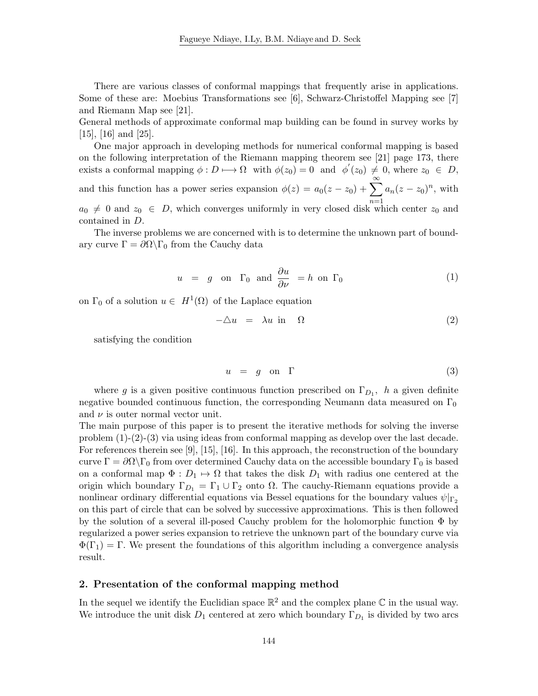There are various classes of conformal mappings that frequently arise in applications. Some of these are: Moebius Transformations see [6], Schwarz-Christoffel Mapping see [7] and Riemann Map see [21].

General methods of approximate conformal map building can be found in survey works by [15], [16] and [25].

One major approach in developing methods for numerical conformal mapping is based on the following interpretation of the Riemann mapping theorem see [21] page 173, there exists a conformal mapping  $\phi: D \longrightarrow \Omega$  with  $\phi(z_0) = 0$  and  $\phi'(z_0) \neq 0$ , where  $z_0 \in D$ , and this function has a power series expansion  $\phi(z) = a_0(z - z_0) + \sum_{n=0}^{\infty} a_n(z - z_0)$  $n=1$  $a_n(z-z_0)^n$ , with  $a_0 \neq 0$  and  $z_0 \in D$ , which converges uniformly in very closed disk which center  $z_0$  and contained in D.

The inverse problems we are concerned with is to determine the unknown part of boundary curve  $\Gamma = \partial \Omega \backslash \Gamma_0$  from the Cauchy data

$$
u = g \text{ on } \Gamma_0 \text{ and } \frac{\partial u}{\partial \nu} = h \text{ on } \Gamma_0 \tag{1}
$$

on  $\Gamma_0$  of a solution  $u \in H^1(\Omega)$  of the Laplace equation

$$
-\Delta u = \lambda u \text{ in } \Omega \tag{2}
$$

satisfying the condition

$$
u = g \quad \text{on} \quad \Gamma \tag{3}
$$

where g is a given positive continuous function prescribed on  $\Gamma_{D_1}$ , h a given definite negative bounded continuous function, the corresponding Neumann data measured on  $\Gamma_0$ and  $\nu$  is outer normal vector unit.

The main purpose of this paper is to present the iterative methods for solving the inverse problem (1)-(2)-(3) via using ideas from conformal mapping as develop over the last decade. For references therein see [9], [15], [16]. In this approach, the reconstruction of the boundary curve  $\Gamma = \partial \Omega \backslash \Gamma_0$  from over determined Cauchy data on the accessible boundary  $\Gamma_0$  is based on a conformal map  $\Phi: D_1 \mapsto \Omega$  that takes the disk  $D_1$  with radius one centered at the origin which boundary  $\Gamma_{D_1} = \Gamma_1 \cup \Gamma_2$  onto  $\Omega$ . The cauchy-Riemann equations provide a nonlinear ordinary differential equations via Bessel equations for the boundary values  $\psi|_{\Gamma_2}$ on this part of circle that can be solved by successive approximations. This is then followed by the solution of a several ill-posed Cauchy problem for the holomorphic function Φ by regularized a power series expansion to retrieve the unknown part of the boundary curve via  $\Phi(\Gamma_1) = \Gamma$ . We present the foundations of this algorithm including a convergence analysis result.

#### 2. Presentation of the conformal mapping method

In the sequel we identify the Euclidian space  $\mathbb{R}^2$  and the complex plane  $\mathbb C$  in the usual way. We introduce the unit disk  $D_1$  centered at zero which boundary  $\Gamma_{D_1}$  is divided by two arcs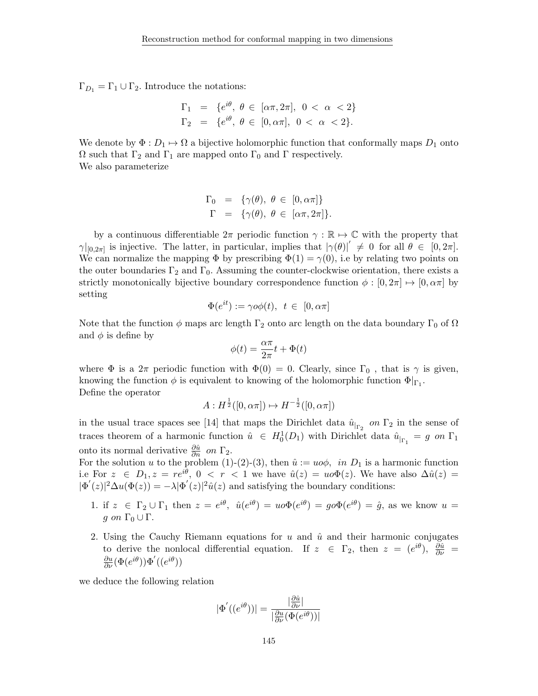$\Gamma_{D_1} = \Gamma_1 \cup \Gamma_2$ . Introduce the notations:

$$
\Gamma_1 = \{e^{i\theta}, \ \theta \in [\alpha \pi, 2\pi], \ 0 < \alpha < 2\}
$$
\n
$$
\Gamma_2 = \{e^{i\theta}, \ \theta \in [0, \alpha \pi], \ 0 < \alpha < 2\}.
$$

We denote by  $\Phi: D_1 \mapsto \Omega$  a bijective holomorphic function that conformally maps  $D_1$  onto  $Ω$  such that  $Γ_2$  and  $Γ_1$  are mapped onto  $Γ_0$  and  $Γ$  respectively. We also parameterize

$$
\Gamma_0 = \{ \gamma(\theta), \ \theta \in [0, \alpha \pi] \}
$$
  

$$
\Gamma = \{ \gamma(\theta), \ \theta \in [\alpha \pi, 2\pi] \}.
$$

by a continuous differentiable  $2\pi$  periodic function  $\gamma : \mathbb{R} \to \mathbb{C}$  with the property that  $\gamma|_{[0,2\pi]}$  is injective. The latter, in particular, implies that  $|\gamma(\theta)|' \neq 0$  for all  $\theta \in [0,2\pi]$ . We can normalize the mapping  $\Phi$  by prescribing  $\Phi(1) = \gamma(0)$ , i.e by relating two points on the outer boundaries  $\Gamma_2$  and  $\Gamma_0$ . Assuming the counter-clockwise orientation, there exists a strictly monotonically bijective boundary correspondence function  $\phi : [0, 2\pi] \mapsto [0, \alpha\pi]$  by setting

$$
\Phi(e^{it}) := \gamma o\phi(t), \ t \in [0, \alpha\pi]
$$

Note that the function  $\phi$  maps arc length  $\Gamma_2$  onto arc length on the data boundary  $\Gamma_0$  of  $\Omega$ and  $\phi$  is define by

$$
\phi(t) = \frac{\alpha \pi}{2\pi} t + \Phi(t)
$$

where  $\Phi$  is a  $2\pi$  periodic function with  $\Phi(0) = 0$ . Clearly, since  $\Gamma_0$ , that is  $\gamma$  is given, knowing the function  $\phi$  is equivalent to knowing of the holomorphic function  $\Phi|_{\Gamma_1}$ . Define the operator

$$
A: H^{\frac{1}{2}}([0, \alpha \pi]) \mapsto H^{-\frac{1}{2}}([0, \alpha \pi])
$$

in the usual trace spaces see [14] that maps the Dirichlet data  $\hat{u}_{r_2}$  on  $\Gamma_2$  in the sense of traces theorem of a harmonic function  $\hat{u} \in H_0^1(D_1)$  with Dirichlet data  $\hat{u}_{r_1} = g$  on  $\Gamma_1$ onto its normal derivative  $\frac{\partial \hat{u}}{\partial n}$  on  $\Gamma_2$ .

For the solution u to the problem (1)-(2)-(3), then  $\hat{u} := u \circ \phi$ , in  $D_1$  is a harmonic function i.e For  $z \in D_1, z = re^{i\theta}, 0 < r < 1$  we have  $\hat{u}(z) = u \circ \Phi(z)$ . We have also  $\Delta \hat{u}(z) =$  $|\Phi'(z)|^2 \Delta u(\Phi(z)) = -\lambda |\Phi'(z)|^2 \hat{u}(z)$  and satisfying the boundary conditions:

- 1. if  $z \in \Gamma_2 \cup \Gamma_1$  then  $z = e^{i\theta}$ ,  $\hat{u}(e^{i\theta}) = u \circ \Phi(e^{i\theta}) = g \circ \Phi(e^{i\theta}) = \hat{g}$ , as we know  $u =$ g on  $\Gamma_0 \cup \Gamma$ .
- 2. Using the Cauchy Riemann equations for  $u$  and  $\hat{u}$  and their harmonic conjugates to derive the nonlocal differential equation. If  $z \in \Gamma_2$ , then  $z = (e^{i\theta})$ ,  $\frac{\partial \hat{u}}{\partial \nu} =$  $\frac{\partial u}{\partial \nu}(\Phi(e^{i\theta}))\Phi'((e^{i\theta}))$

we deduce the following relation

$$
|\Phi'((e^{i\theta}))| = \frac{|\frac{\partial \hat{u}}{\partial \nu}|}{|\frac{\partial u}{\partial \nu}(\Phi(e^{i\theta}))|}
$$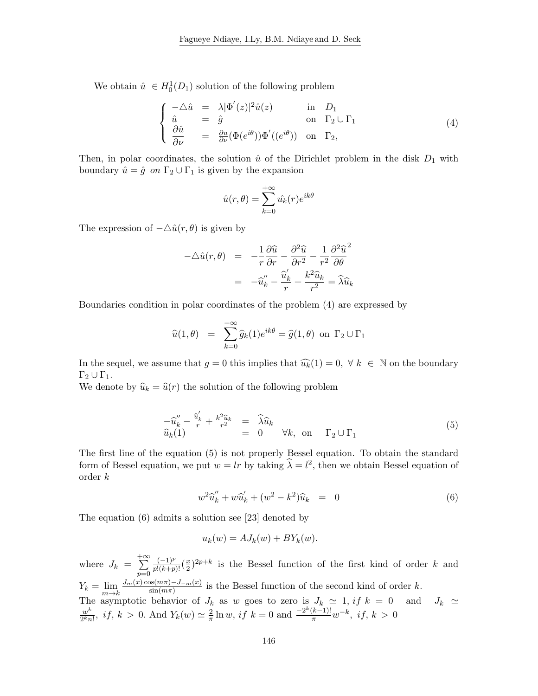We obtain  $\hat{u} \in H_0^1(D_1)$  solution of the following problem

$$
\begin{cases}\n-\Delta \hat{u} = \lambda |\Phi'(z)|^2 \hat{u}(z) & \text{in } D_1 \\
\hat{u} = \hat{g} & \text{on } \Gamma_2 \cup \Gamma_1 \\
\frac{\partial \hat{u}}{\partial \nu} = \frac{\partial u}{\partial \nu} (\Phi(e^{i\theta})) \Phi'( (e^{i\theta})) & \text{on } \Gamma_2,\n\end{cases}
$$
\n(4)

Then, in polar coordinates, the solution  $\hat{u}$  of the Dirichlet problem in the disk  $D_1$  with boundary  $\hat{u} = \hat{g}$  on  $\Gamma_2 \cup \Gamma_1$  is given by the expansion

$$
\hat{u}(r,\theta) = \sum_{k=0}^{+\infty} \hat{u_k}(r)e^{ik\theta}
$$

The expression of  $-\Delta \hat{u}(r, \theta)$  is given by

$$
-\Delta \hat{u}(r,\theta) = -\frac{1}{r}\frac{\partial \hat{u}}{\partial r} - \frac{\partial^2 \hat{u}}{\partial r^2} - \frac{1}{r^2}\frac{\partial^2 \hat{u}^2}{\partial \theta}
$$

$$
= -\hat{u}_k'' - \frac{\hat{u}_k'}{r} + \frac{k^2 \hat{u}_k}{r^2} = \hat{\lambda}\hat{u}_k
$$

Boundaries condition in polar coordinates of the problem (4) are expressed by

$$
\widehat{u}(1,\theta) = \sum_{k=0}^{+\infty} \widehat{g}_k(1)e^{ik\theta} = \widehat{g}(1,\theta)
$$
 on  $\Gamma_2 \cup \Gamma_1$ 

In the sequel, we assume that  $g = 0$  this implies that  $\widehat{u_k}(1) = 0, \forall k \in \mathbb{N}$  on the boundary  $\Gamma_2 \cup \Gamma_1$ .

We denote by  $\hat{u}_k = \hat{u}(r)$  the solution of the following problem

$$
\begin{array}{rcl}\n-\widehat{u}_k'' - \frac{\widehat{u}_k'}{r} + \frac{k^2 \widehat{u}_k}{r^2} & = & \widehat{\lambda} \widehat{u}_k \\
\widehat{u}_k(1) & = & 0 \qquad \forall k, \text{ on } \Gamma_2 \cup \Gamma_1\n\end{array} \tag{5}
$$

The first line of the equation (5) is not properly Bessel equation. To obtain the standard form of Bessel equation, we put  $w = lr$  by taking  $\hat{\lambda} = l^2$ , then we obtain Bessel equation of order k

$$
w^{2}\hat{u}_{k}'' + w\hat{u}_{k}' + (w^{2} - k^{2})\hat{u}_{k} = 0
$$
\n(6)

The equation (6) admits a solution see [23] denoted by

$$
u_k(w) = AJ_k(w) + BY_k(w).
$$

where  $J_k =$  $+ \infty$  $p=0$  $\frac{(-1)^p}{p!(k+p)!}(\frac{x}{2})$  $\frac{x}{2}$ )<sup>2p+k</sup> is the Bessel function of the first kind of order k and  $Y_k = \lim_{m \to k}$  $J_m(x) \cos(m\pi) - J_{-m}(x)$  $\frac{\sin(m\pi)-J_{-m}(x)}{\sin(m\pi)}$  is the Bessel function of the second kind of order k. The asymptotic behavior of  $J_k$  as w goes to zero is  $J_k \simeq 1$ , if  $k = 0$  and  $J_k \simeq$  $w^k$  $\frac{w^k}{2^k n!}$ , *if*,  $k > 0$ . And  $Y_k(w) \simeq \frac{2}{\pi}$  $\frac{2}{\pi} \ln w$ , if  $k = 0$  and  $\frac{-2^k(k-1)!}{\pi} w^{-k}$ , if,  $k > 0$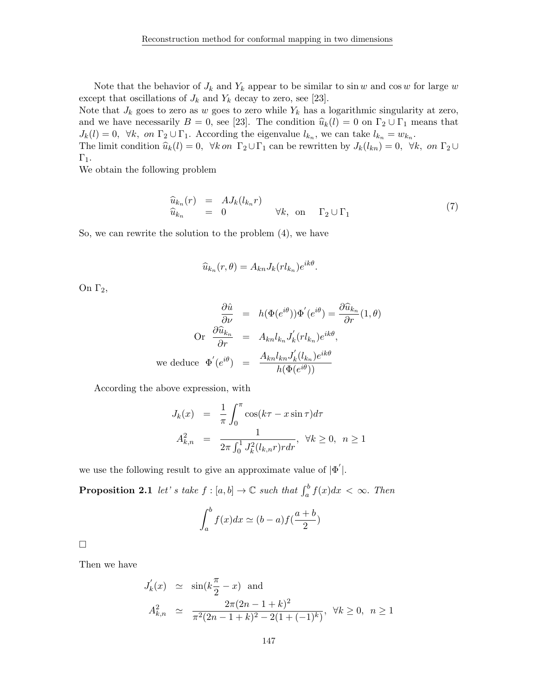Note that the behavior of  $J_k$  and  $Y_k$  appear to be similar to sin w and cos w for large w except that oscillations of  $J_k$  and  $Y_k$  decay to zero, see [23].

Note that  $J_k$  goes to zero as w goes to zero while  $Y_k$  has a logarithmic singularity at zero, and we have necessarily  $B = 0$ , see [23]. The condition  $\hat{u}_k(l) = 0$  on  $\Gamma_2 \cup \Gamma_1$  means that  $J_k(l) = 0$ ,  $\forall k$ , on  $\Gamma_2 \cup \Gamma_1$ . According the eigenvalue  $l_{k_n}$ , we can take  $l_{k_n} = w_{k_n}$ .

The limit condition  $\hat{u}_k(l) = 0$ ,  $\forall k$  on  $\Gamma_2 \cup \Gamma_1$  can be rewritten by  $J_k(l_{kn}) = 0$ ,  $\forall k$ , on  $\Gamma_2 \cup$  $\Gamma_1$ .

We obtain the following problem

$$
\begin{array}{rcl}\n\widehat{u}_{k_n}(r) & = & AJ_k(l_{k_n}r) \\
\widehat{u}_{k_n} & = & 0\n\end{array}\n\quad \forall k, \text{ on } \Gamma_2 \cup \Gamma_1\n\tag{7}
$$

So, we can rewrite the solution to the problem (4), we have

$$
\widehat{u}_{k_n}(r,\theta) = A_{kn} J_k(r l_{k_n}) e^{ik\theta}.
$$

On  $Γ_2$ ,

$$
\frac{\partial \hat{u}}{\partial \nu} = h(\Phi(e^{i\theta}))\Phi'(e^{i\theta}) = \frac{\partial \hat{u}_{k_n}}{\partial r}(1,\theta)
$$
  
Or 
$$
\frac{\partial \hat{u}_{k_n}}{\partial r} = A_{kn}l_{k_n}J'_k(rl_{k_n})e^{ik\theta},
$$
  
we deduce 
$$
\Phi'(e^{i\theta}) = \frac{A_{kn}l_{kn}J'_k(l_{k_n})e^{ik\theta}}{h(\Phi(e^{i\theta}))}
$$

According the above expression, with

$$
J_k(x) = \frac{1}{\pi} \int_0^{\pi} \cos(k\tau - x \sin \tau) d\tau
$$
  

$$
A_{k,n}^2 = \frac{1}{2\pi \int_0^1 J_k^2(l_{k,n}r) r dr}, \ \forall k \ge 0, \ n \ge 1
$$

we use the following result to give an approximate value of  $|\Phi'|$ .

**Proposition 2.1** let's take  $f : [a, b] \to \mathbb{C}$  such that  $\int_a^b f(x)dx < \infty$ . Then

$$
\int_{a}^{b} f(x)dx \simeq (b-a)f(\frac{a+b}{2})
$$

 $\Box$ 

Then we have

$$
J'_{k}(x) \simeq \sin(k\frac{\pi}{2} - x) \text{ and}
$$
  

$$
A_{k,n}^{2} \simeq \frac{2\pi(2n - 1 + k)^{2}}{\pi^{2}(2n - 1 + k)^{2} - 2(1 + (-1)^{k})}, \ \forall k \ge 0, \ n \ge 1
$$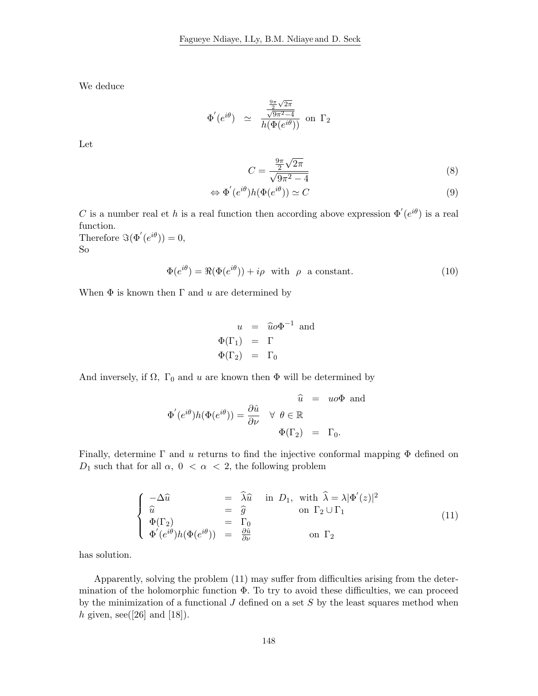We deduce

$$
\Phi'(e^{i\theta}) \quad \simeq \quad \frac{\frac{\frac{9\pi}{2}\sqrt{2\pi}}{\sqrt{9\pi^2 - 4}}}{h(\Phi(e^{i\theta}))} \text{ on } \Gamma_2
$$

Let

$$
C = \frac{\frac{9\pi}{2}\sqrt{2\pi}}{\sqrt{9\pi^2 - 4}}
$$
 (8)

$$
\Leftrightarrow \Phi'(e^{i\theta})h(\Phi(e^{i\theta})) \simeq C \tag{9}
$$

C is a number real et h is a real function then according above expression  $\Phi'(e^{i\theta})$  is a real function.

Therefore  $\Im(\Phi'(e^{i\theta}))=0,$ So

$$
\Phi(e^{i\theta}) = \Re(\Phi(e^{i\theta})) + i\rho \quad \text{with} \quad \rho \quad \text{a constant.} \tag{10}
$$

When  $\Phi$  is known then  $\Gamma$  and u are determined by

$$
u = \hat{u}o\Phi^{-1} \text{ and}
$$
  

$$
\Phi(\Gamma_1) = \Gamma
$$
  

$$
\Phi(\Gamma_2) = \Gamma_0
$$

And inversely, if  $\Omega$ ,  $\Gamma_0$  and u are known then  $\Phi$  will be determined by

$$
\widehat{\Phi}'(e^{i\theta})h(\Phi(e^{i\theta})) = \frac{\partial \widehat{u}}{\partial \nu} \quad \forall \ \theta \in \mathbb{R}
$$

$$
\Phi(\Gamma_2) = \Gamma_0.
$$

Finally, determine  $\Gamma$  and u returns to find the injective conformal mapping  $\Phi$  defined on  $D_1$  such that for all  $\alpha$ ,  $0 < \alpha < 2$ , the following problem

$$
\begin{cases}\n-\Delta \hat{u} &= \hat{\lambda} \hat{u} \text{ in } D_1, \text{ with } \hat{\lambda} = \lambda |\Phi'(z)|^2 \\
\hat{u} &= \hat{g} \text{ on } \Gamma_2 \cup \Gamma_1 \\
\Phi(\Gamma_2) &= \Gamma_0 \\
\Phi'(e^{i\theta})h(\Phi(e^{i\theta})) &= \frac{\partial \hat{u}}{\partial \nu} \text{ on } \Gamma_2\n\end{cases}
$$
\n(11)

has solution.

Apparently, solving the problem (11) may suffer from difficulties arising from the determination of the holomorphic function  $\Phi$ . To try to avoid these difficulties, we can proceed by the minimization of a functional  $J$  defined on a set  $S$  by the least squares method when h given, see([26] and [18]).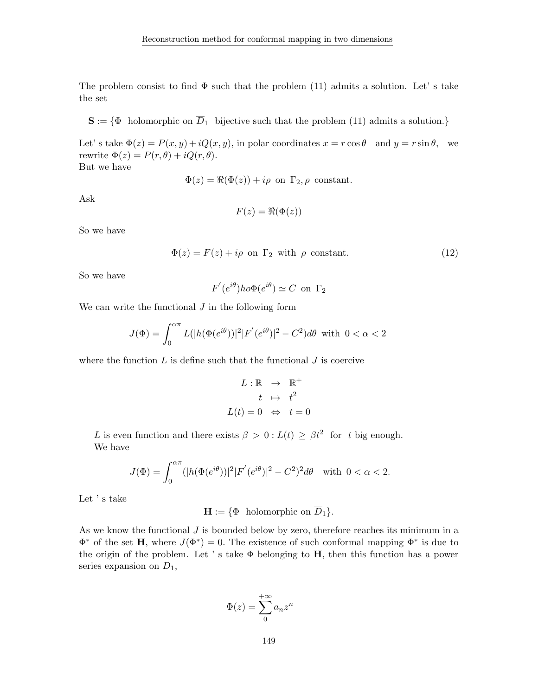The problem consist to find  $\Phi$  such that the problem (11) admits a solution. Let' s take the set

 $S := \{ \Phi \text{ holomorphic on } \overline{D}_1 \text{ bijective such that the problem (11) admits a solution.} \}$ 

Let's take  $\Phi(z) = P(x, y) + iQ(x, y)$ , in polar coordinates  $x = r \cos \theta$  and  $y = r \sin \theta$ , we rewrite  $\Phi(z) = P(r, \theta) + iQ(r, \theta)$ .

But we have

$$
\Phi(z) = \Re(\Phi(z)) + i\rho \text{ on } \Gamma_2, \rho \text{ constant.}
$$

Ask

$$
F(z) = \Re(\Phi(z))
$$

So we have

$$
\Phi(z) = F(z) + i\rho \text{ on } \Gamma_2 \text{ with } \rho \text{ constant.}
$$
\n(12)

So we have

$$
F'(e^{i\theta})ho\Phi(e^{i\theta}) \simeq C \text{ on } \Gamma_2
$$

We can write the functional  $J$  in the following form

$$
J(\Phi) = \int_0^{\alpha \pi} L(|h(\Phi(e^{i\theta}))|^2 |F'(e^{i\theta})|^2 - C^2) d\theta \text{ with } 0 < \alpha < 2
$$

where the function  $L$  is define such that the functional  $J$  is coercive

$$
L: \mathbb{R} \rightarrow \mathbb{R}^{+}
$$

$$
t \rightarrow t^{2}
$$

$$
L(t) = 0 \Leftrightarrow t = 0
$$

L is even function and there exists  $\beta > 0$ :  $L(t) \geq \beta t^2$  for t big enough. We have

$$
J(\Phi) = \int_0^{\alpha \pi} (|h(\Phi(e^{i\theta}))|^2 |F'(e^{i\theta})|^2 - C^2)^2 d\theta \text{ with } 0 < \alpha < 2.
$$

Let ' s take

 $\mathbf{H} := {\Phi \text{ holomorphic on } \overline{D}_1}.$ 

As we know the functional  $J$  is bounded below by zero, therefore reaches its minimum in a  $\Phi^*$  of the set **H**, where  $J(\Phi^*) = 0$ . The existence of such conformal mapping  $\Phi^*$  is due to the origin of the problem. Let 's take  $\Phi$  belonging to **H**, then this function has a power series expansion on  $D_1$ ,

$$
\Phi(z) = \sum_{0}^{+\infty} a_n z^n
$$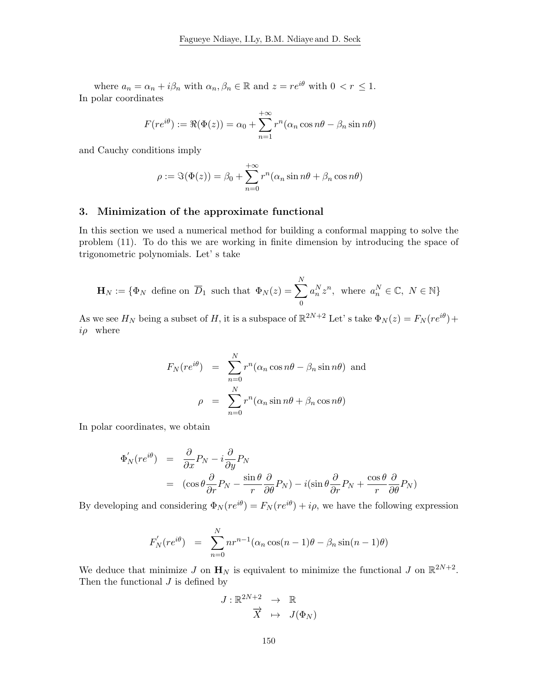where  $a_n = \alpha_n + i\beta_n$  with  $\alpha_n, \beta_n \in \mathbb{R}$  and  $z = re^{i\theta}$  with  $0 < r \leq 1$ . In polar coordinates

$$
F(re^{i\theta}) := \Re(\Phi(z)) = \alpha_0 + \sum_{n=1}^{+\infty} r^n (\alpha_n \cos n\theta - \beta_n \sin n\theta)
$$

and Cauchy conditions imply

$$
\rho := \Im(\Phi(z)) = \beta_0 + \sum_{n=0}^{+\infty} r^n (\alpha_n \sin n\theta + \beta_n \cos n\theta)
$$

### 3. Minimization of the approximate functional

In this section we used a numerical method for building a conformal mapping to solve the problem (11). To do this we are working in finite dimension by introducing the space of trigonometric polynomials. Let' s take

$$
\mathbf{H}_N := \{ \Phi_N \text{ define on } \overline{D}_1 \text{ such that } \Phi_N(z) = \sum_{0}^{N} a_n^N z^n, \text{ where } a_n^N \in \mathbb{C}, N \in \mathbb{N} \}
$$

As we see  $H_N$  being a subset of H, it is a subspace of  $\mathbb{R}^{2N+2}$  Let's take  $\Phi_N(z) = F_N(re^{i\theta}) +$  $i\rho$  where

$$
F_N(re^{i\theta}) = \sum_{n=0}^{N} r^n (\alpha_n \cos n\theta - \beta_n \sin n\theta)
$$
 and  

$$
\rho = \sum_{n=0}^{N} r^n (\alpha_n \sin n\theta + \beta_n \cos n\theta)
$$

In polar coordinates, we obtain

$$
\Phi'_N(re^{i\theta}) = \frac{\partial}{\partial x}P_N - i\frac{\partial}{\partial y}P_N
$$
  
=  $(\cos\theta\frac{\partial}{\partial r}P_N - \frac{\sin\theta}{r}\frac{\partial}{\partial \theta}P_N) - i(\sin\theta\frac{\partial}{\partial r}P_N + \frac{\cos\theta}{r}\frac{\partial}{\partial \theta}P_N)$ 

By developing and considering  $\Phi_N(re^{i\theta}) = F_N(re^{i\theta}) + i\rho$ , we have the following expression

$$
F'_N(re^{i\theta}) = \sum_{n=0}^N nr^{n-1}(\alpha_n\cos(n-1)\theta - \beta_n\sin(n-1)\theta)
$$

We deduce that minimize J on  $\mathbf{H}_N$  is equivalent to minimize the functional J on  $\mathbb{R}^{2N+2}$ . Then the functional  $J$  is defined by

$$
J: \mathbb{R}^{2N+2} \rightarrow \mathbb{R}
$$
  

$$
\overrightarrow{X} \mapsto J(\Phi_N)
$$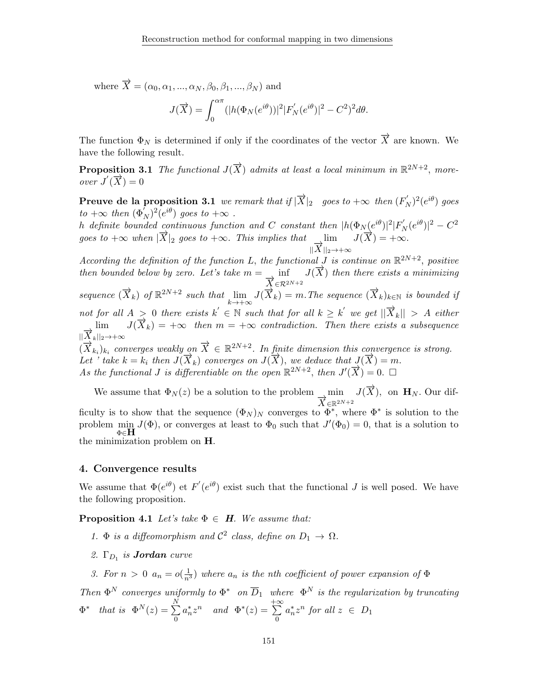where  $\overrightarrow{X} = (\alpha_0, \alpha_1, ..., \alpha_N, \beta_0, \beta_1, ..., \beta_N)$  and

$$
J(\overrightarrow{X}) = \int_0^{\alpha \pi} (|h(\Phi_N(e^{i\theta}))|^2 |F'_N(e^{i\theta})|^2 - C^2)^2 d\theta.
$$

The function  $\Phi_N$  is determined if only if the coordinates of the vector  $\overrightarrow{X}$  are known. We have the following result.

**Proposition 3.1** The functional  $J(\vec{X})$  admits at least a local minimum in  $\mathbb{R}^{2N+2}$ , moreover  $J'(\overrightarrow{X})=0$ 

**Preuve de la proposition 3.1** we remark that if  $|\overrightarrow{X}|_2$  goes to  $+\infty$  then  $(F_N')^2(e^{i\theta})$  goes to  $+\infty$  then  $(\Phi_N^{\overline{I}})^2(e^{i\theta})$  goes to  $+\infty$ .

h definite bounded continuous function and C constant then  $|h(\Phi_N(e^{i\theta})|^2|F_N'(e^{i\theta})|^2 - C^2)$ goes to  $+\infty$  when  $|\vec{X}|_2$  goes to  $+\infty$ . This implies that lim  $\lim_{\substack{\longleftarrow \\ ||X||_2\to +\infty}} J(\overline{X}) = +\infty.$ 

According the definition of the function L, the functional J is continue on  $\mathbb{R}^{2N+2}$ , positive then bounded below by zero. Let's take  $m = \frac{1}{\vec{X}} \in \mathbb{R}^{2N+2}$  then there exists a minimizing sequence  $(\overrightarrow{X}_k)$  of  $\mathbb{R}^{2N+2}$  such that  $\lim_{k\to+\infty} J(\overrightarrow{X}_k) = m$ . The sequence  $(\overrightarrow{X}_k)_{k\in\mathbb{N}}$  is bounded if not for all  $A > 0$  there exists  $k' \in \mathbb{N}$  such that for all  $k \geq k'$  we get  $||\overrightarrow{X}_k|| > A$  either  $\lim_{f \to K} J(\vec{X}_k) = +\infty \quad \text{then } m = +\infty \quad \text{contradiction. Then there exists a subsequence}$  $\|\overrightarrow{X}_k\|_2\rightarrow +\infty$  $(\overrightarrow{X}_{k_i})_{k_i}$  converges weakly on  $\overrightarrow{X} \in \mathbb{R}^{2N+2}$ . In finite dimension this convergence is strong. Let ' take  $k = k_i$  then  $J(\overline{X}_k)$  converges on  $J(\overline{X})$ , we deduce that  $J(\overline{X}) = m$ . As the functional J is differentiable on the open  $\mathbb{R}^{2N+2}$ , then  $J'(\overline{X}) = 0$ .

We assume that  $\Phi_N(z)$  be a solution to the problem  $\overrightarrow{X}_{\in \mathbb{R}^{2N+2}} J(\overrightarrow{X})$ , on  $\mathbf{H}_N$ . Our difficulty is to show that the sequence  $(\Phi_N)_N$  converges to  $\Phi^*$ , where  $\Phi^*$  is solution to the problem min  $J(\Phi)$ , or converges at least to  $\Phi_0$  such that  $J'(\Phi_0) = 0$ , that is a solution to Φ∈H the minimization problem on H.

#### 4. Convergence results

We assume that  $\Phi(e^{i\theta})$  et  $F'(e^{i\theta})$  exist such that the functional J is well posed. We have the following proposition.

**Proposition 4.1** Let's take  $\Phi \in H$ . We assume that:

1.  $\Phi$  is a diffeomorphism and  $C^2$  class, define on  $D_1 \to \Omega$ .

2.  $\Gamma_{D_1}$  is **Jordan** curve

3. For  $n > 0$   $a_n = o(\frac{1}{n^3})$  where  $a_n$  is the nth coefficient of power expansion of  $\Phi$ 

Then  $\Phi^N$  converges uniformly to  $\Phi^*$  on  $\overline{D}_1$  where  $\Phi^N$  is the regularization by truncating  $\Phi^*$  that is  $\Phi^N(z) = \sum^N$  $\boldsymbol{0}$  $a_n^* z^n$  and  $\Phi^*(z) =$  $\sum_{i=1}^{+\infty}$ 0  $a_n^* z^n$  for all  $z \in D_1$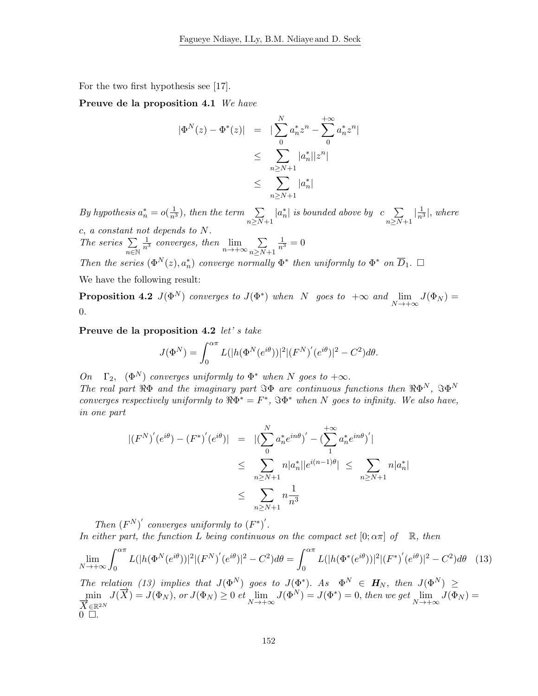For the two first hypothesis see [17].

Preuve de la proposition 4.1 We have

$$
|\Phi^{N}(z) - \Phi^{*}(z)| = |\sum_{0}^{N} a_{n}^{*} z^{n} - \sum_{0}^{+\infty} a_{n}^{*} z^{n}|
$$
  

$$
\leq \sum_{n \geq N+1} |a_{n}^{*}| |z^{n}|
$$
  

$$
\leq \sum_{n \geq N+1} |a_{n}^{*}|
$$

By hypothesis  $a_n^* = o(\frac{1}{n^3})$ , then the term  $\sum_{n \ge N+1}$  $|a_n^*|$  is bounded above by  $c \sum$  $n \geq N+1$  $\left|\frac{1}{n^3}\right|$ , where c, a constant not depends to N. The series  $\Sigma$  $n\overline{\in}\mathbb{N}$  $rac{1}{n^3}$  converges, then  $\lim_{n \to +\infty} \sum_{n>N}$  $n \geq N+1$  $\frac{1}{n^3} = 0$ Then the series  $(\Phi^N(z), a_n^*)$  converge normally  $\Phi^*$  then uniformly to  $\Phi^*$  on  $\overline{D}_1$ .  $\Box$ 

We have the following result:

**Proposition 4.2**  $J(\Phi^N)$  converges to  $J(\Phi^*)$  when N goes to  $+\infty$  and  $\lim_{N\to+\infty} J(\Phi_N) =$ 0.

Preuve de la proposition 4.2 let's take

$$
J(\Phi^{N}) = \int_{0}^{\alpha \pi} L(|h(\Phi^{N}(e^{i\theta}))|^{2} |(F^{N})'(e^{i\theta})|^{2} - C^{2}) d\theta.
$$

On  $\Gamma_2$ ,  $(\Phi^N)$  converges uniformly to  $\Phi^*$  when N goes to  $+\infty$ . The real part  $\Re\Phi$  and the imaginary part  $\Im\Phi$  are continuous functions then  $\Re\Phi^N$ ,  $\Im\Phi^N$ converges respectively uniformly to  $\Re \Phi^* = F^*$ ,  $\Im \Phi^*$  when N goes to infinity. We also have, in one part

$$
\begin{aligned} | (F^N)' (e^{i\theta}) - (F^*)' (e^{i\theta}) | &= | (\sum_{0}^{N} a_n^* e^{in\theta})' - (\sum_{1}^{+\infty} a_n^* e^{in\theta})' | \\ &\leq \sum_{n \geq N+1} n |a_n^*| |e^{i(n-1)\theta}| \leq \sum_{n \geq N+1} n |a_n^*| \\ &\leq \sum_{n \geq N+1} n \frac{1}{n^3} \end{aligned}
$$

Then  $(F^N)'$  converges uniformly to  $(F^*)'$ .

In either part, the function L being continuous on the compact set  $[0; \alpha \pi]$  of  $\mathbb{R}$ , then

$$
\lim_{N \to +\infty} \int_0^{\alpha \pi} L(|h(\Phi^N(e^{i\theta}))|^2 |(F^N)'(e^{i\theta})|^2 - C^2) d\theta = \int_0^{\alpha \pi} L(|h(\Phi^*(e^{i\theta}))|^2 |(F^*)'(e^{i\theta})|^2 - C^2) d\theta \tag{13}
$$

The relation (13) implies that  $J(\Phi^N)$  goes to  $J(\Phi^*)$ . As  $\Phi^N \in H_N$ , then  $J(\Phi^N) \geq$  $\min_{\lambda \in \mathbb{R}^N} J(\overrightarrow{X}) = J(\Phi_N), \text{ or } J(\Phi_N) \geq 0 \text{ et } \lim_{N \to +\infty} J(\Phi^N) = J(\Phi^*) = 0, \text{ then we get } \lim_{N \to +\infty} J(\overline{\Phi}_N) =$  $\overrightarrow{X}_{\in \mathbb{R}^{2N}}$  $0 \Box$ .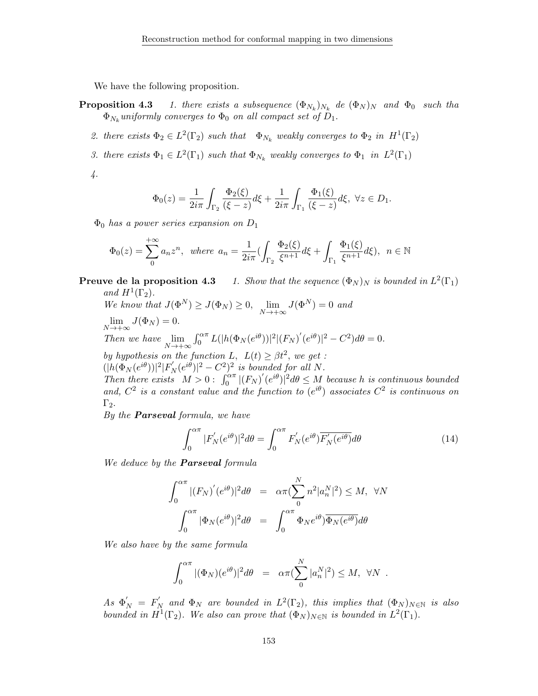We have the following proposition.

- **Proposition 4.3** 1. there exists a subsequence  $(\Phi_{N_k})_{N_k}$  de  $(\Phi_N)_N$  and  $\Phi_0$  such tha  $\Phi_{N_k}$ uniformly converges to  $\Phi_0$  on all compact set of  $D_1$ .
	- 2. there exists  $\Phi_2 \in L^2(\Gamma_2)$  such that  $\Phi_{N_k}$  weakly converges to  $\Phi_2$  in  $H^1(\Gamma_2)$
	- 3. there exists  $\Phi_1 \in L^2(\Gamma_1)$  such that  $\Phi_{N_k}$  weakly converges to  $\Phi_1$  in  $L^2(\Gamma_1)$

4.

$$
\Phi_0(z) = \frac{1}{2i\pi} \int_{\Gamma_2} \frac{\Phi_2(\xi)}{(\xi - z)} d\xi + \frac{1}{2i\pi} \int_{\Gamma_1} \frac{\Phi_1(\xi)}{(\xi - z)} d\xi, \ \forall z \in D_1.
$$

 $\Phi_0$  has a power series expansion on  $D_1$ 

$$
\Phi_0(z) = \sum_{n=0}^{+\infty} a_n z^n, \text{ where } a_n = \frac{1}{2i\pi} \left( \int_{\Gamma_2} \frac{\Phi_2(\xi)}{\xi^{n+1}} d\xi + \int_{\Gamma_1} \frac{\Phi_1(\xi)}{\xi^{n+1}} d\xi \right), \quad n \in \mathbb{N}
$$

**Preuve de la proposition 4.3** 1. Show that the sequence  $(\Phi_N)_N$  is bounded in  $L^2(\Gamma_1)$ and  $H^1(\Gamma_2)$ .

We know that  $J(\Phi^N) \geq J(\Phi_N) \geq 0$ ,  $\lim_{N \to +\infty} J(\Phi^N) = 0$  and  $\lim_{N \to +\infty} J(\Phi_N) = 0.$ Then we have  $\lim_{N \to +\infty} \int_0^{\alpha \pi} L(|h(\Phi_N(e^{i\theta}))|^2 |(F_N)'(e^{i\theta})|^2 - C^2) d\theta = 0.$ by hypothesis on the function L,  $L(t) \geq \beta t^2$ , we get:  $(|h(\Phi_N(e^{i\theta}))|^2|F_N'(e^{i\theta})|^2-C^2)^2$  is bounded for all N. Then there exists  $M > 0$ :  $\int_0^{\alpha \pi} |(F_N)'(e^{i\theta})|^2 d\theta \leq M$  because h is continuous bounded and,  $C^2$  is a constant value and the function to  $(e^{i\theta})$  associates  $C^2$  is continuous on

 $\Gamma_2$ . By the **Parseval** formula, we have

$$
\int_0^{\alpha \pi} |F_N'(e^{i\theta})|^2 d\theta = \int_0^{\alpha \pi} F_N'(e^{i\theta}) \overline{F_N'(e^{i\theta})} d\theta \tag{14}
$$

We deduce by the **Parseval** formula

$$
\int_0^{\alpha \pi} |(F_N)'(e^{i\theta})|^2 d\theta = \alpha \pi (\sum_0^N n^2 |a_n^N|^2) \le M, \ \forall N
$$

$$
\int_0^{\alpha \pi} |\Phi_N(e^{i\theta})|^2 d\theta = \int_0^{\alpha \pi} \Phi_N(e^{i\theta}) \overline{\Phi_N(e^{i\theta})} d\theta
$$

We also have by the same formula

$$
\int_0^{\alpha \pi} |(\Phi_N)(e^{i\theta})|^2 d\theta = \alpha \pi (\sum_0^N |a_n^N|^2) \leq M, \ \forall N.
$$

As  $\Phi'_N = F'_N$  and  $\Phi_N$  are bounded in  $L^2(\Gamma_2)$ , this implies that  $(\Phi_N)_{N \in \mathbb{N}}$  is also bounded in  $H^1(\Gamma_2)$ . We also can prove that  $(\Phi_N)_{N \in \mathbb{N}}$  is bounded in  $L^2(\Gamma_1)$ .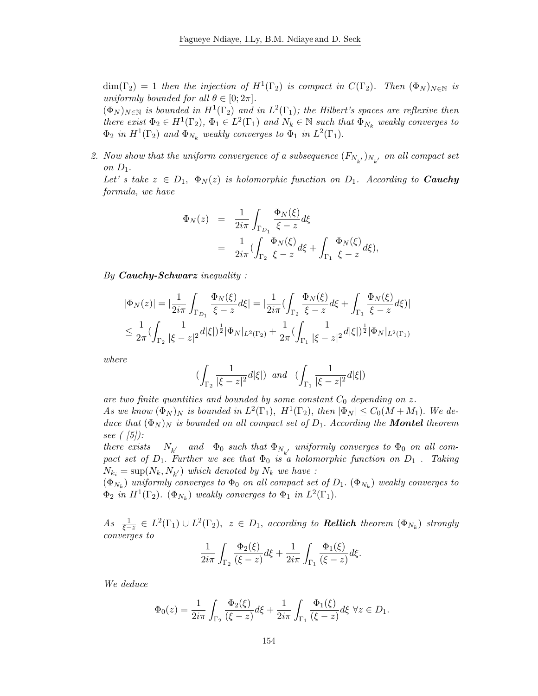$\dim(\Gamma_2) = 1$  then the injection of  $H^1(\Gamma_2)$  is compact in  $C(\Gamma_2)$ . Then  $(\Phi_N)_{N \in \mathbb{N}}$  is uniformly bounded for all  $\theta \in [0; 2\pi]$ .

 $(\Phi_N)_{N \in \mathbb{N}}$  is bounded in  $H^1(\Gamma_2)$  and in  $L^2(\Gamma_1)$ ; the Hilbert's spaces are reflexive then there exist  $\Phi_2 \in H^1(\Gamma_2)$ ,  $\Phi_1 \in L^2(\Gamma_1)$  and  $N_k \in \mathbb{N}$  such that  $\Phi_{N_k}$  weakly converges to  $\Phi_2$  in  $H^1(\Gamma_2)$  and  $\Phi_{N_k}$  weakly converges to  $\Phi_1$  in  $L^2(\Gamma_1)$ .

2. Now show that the uniform convergence of a subsequence  $(F_{N_{k'}})_{N_{k'}}$  on all compact set on  $D_1$ .

Let' s take  $z \in D_1$ ,  $\Phi_N(z)$  is holomorphic function on  $D_1$ . According to **Cauchy** formula, we have

$$
\Phi_N(z) = \frac{1}{2i\pi} \int_{\Gamma_{D_1}} \frac{\Phi_N(\xi)}{\xi - z} d\xi
$$
  
= 
$$
\frac{1}{2i\pi} \left( \int_{\Gamma_2} \frac{\Phi_N(\xi)}{\xi - z} d\xi + \int_{\Gamma_1} \frac{\Phi_N(\xi)}{\xi - z} d\xi \right),
$$

By **Cauchy-Schwarz** inequality :

$$
|\Phi_N(z)| = |\frac{1}{2i\pi} \int_{\Gamma_{D_1}} \frac{\Phi_N(\xi)}{\xi - z} d\xi| = |\frac{1}{2i\pi} (\int_{\Gamma_2} \frac{\Phi_N(\xi)}{\xi - z} d\xi + \int_{\Gamma_1} \frac{\Phi_N(\xi)}{\xi - z} d\xi)|
$$
  

$$
\leq \frac{1}{2\pi} (\int_{\Gamma_2} \frac{1}{|\xi - z|^2} d|\xi|)^{\frac{1}{2}} |\Phi_N|_{L^2(\Gamma_2)} + \frac{1}{2\pi} (\int_{\Gamma_1} \frac{1}{|\xi - z|^2} d|\xi|)^{\frac{1}{2}} |\Phi_N|_{L^2(\Gamma_1)}
$$

where

$$
(\int_{\Gamma_2}\frac{1}{|\xi-z|^2}d|\xi|)\;\; and \;\;(\int_{\Gamma_1}\frac{1}{|\xi-z|^2}d|\xi|)
$$

are two finite quantities and bounded by some constant  $C_0$  depending on z. As we know  $(\Phi_N)_N$  is bounded in  $L^2(\Gamma_1)$ ,  $H^1(\Gamma_2)$ , then  $|\Phi_N| \leq C_0(M+M_1)$ . We deduce that  $(\Phi_N)_N$  is bounded on all compact set of  $D_1$ . According the **Montel** theorem see  $($  [5]):

there exists  $N_{k'}$  and  $\Phi_0$  such that  $\Phi_{N_{k'}}$  uniformly converges to  $\Phi_0$  on all compact set of  $D_1$ . Further we see that  $\Phi_0$  is a holomorphic function on  $D_1$ . Taking  $N_{k_i} = \sup(N_k, N_{k'})$  which denoted by  $N_k$  we have :

 $(\Phi_{N_k})$  uniformly converges to  $\Phi_0$  on all compact set of  $D_1$ .  $(\Phi_{N_k})$  weakly converges to  $\Phi_2$  in  $H^1(\Gamma_2)$ .  $(\Phi_{N_k})$  weakly converges to  $\Phi_1$  in  $L^2(\Gamma_1)$ .

 $As \frac{1}{\xi-z} \in L^2(\Gamma_1) \cup L^2(\Gamma_2), \ z \in D_1$ , according to **Rellich** theorem  $(\Phi_{N_k})$  strongly converges to

$$
\frac{1}{2i\pi}\int_{\Gamma_2}\frac{\Phi_2(\xi)}{(\xi-z)}d\xi+\frac{1}{2i\pi}\int_{\Gamma_1}\frac{\Phi_1(\xi)}{(\xi-z)}d\xi.
$$

We deduce

$$
\Phi_0(z) = \frac{1}{2i\pi} \int_{\Gamma_2} \frac{\Phi_2(\xi)}{(\xi - z)} d\xi + \frac{1}{2i\pi} \int_{\Gamma_1} \frac{\Phi_1(\xi)}{(\xi - z)} d\xi \,\,\forall z \in D_1.
$$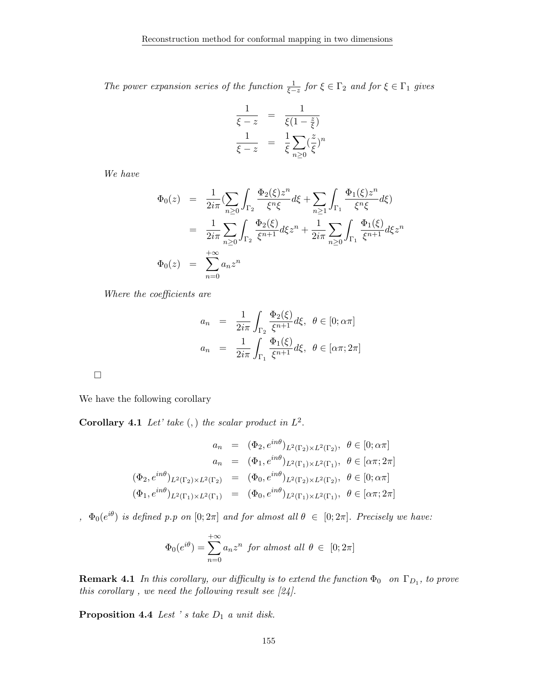The power expansion series of the function  $\frac{1}{\xi-z}$  for  $\xi \in \Gamma_2$  and for  $\xi \in \Gamma_1$  gives

$$
\frac{1}{\xi - z} = \frac{1}{\xi(1 - \frac{z}{\xi})}
$$

$$
\frac{1}{\xi - z} = \frac{1}{\xi} \sum_{n \ge 0} (\frac{z}{\xi})^n
$$

We have

$$
\Phi_0(z) = \frac{1}{2i\pi} \left( \sum_{n\geq 0} \int_{\Gamma_2} \frac{\Phi_2(\xi) z^n}{\xi^n \xi} d\xi + \sum_{n\geq 1} \int_{\Gamma_1} \frac{\Phi_1(\xi) z^n}{\xi^n \xi} d\xi \right)
$$
  
\n
$$
= \frac{1}{2i\pi} \sum_{n\geq 0} \int_{\Gamma_2} \frac{\Phi_2(\xi)}{\xi^{n+1}} d\xi z^n + \frac{1}{2i\pi} \sum_{n\geq 0} \int_{\Gamma_1} \frac{\Phi_1(\xi)}{\xi^{n+1}} d\xi z^n
$$
  
\n
$$
\Phi_0(z) = \sum_{n=0}^{+\infty} a_n z^n
$$

Where the coefficients are

$$
a_n = \frac{1}{2i\pi} \int_{\Gamma_2} \frac{\Phi_2(\xi)}{\xi^{n+1}} d\xi, \ \theta \in [0; \alpha\pi]
$$

$$
a_n = \frac{1}{2i\pi} \int_{\Gamma_1} \frac{\Phi_1(\xi)}{\xi^{n+1}} d\xi, \ \theta \in [\alpha\pi; 2\pi]
$$

 $\Box$ 

We have the following corollary

Corollary 4.1 Let' take  $(,)$  the scalar product in  $L^2$ .

$$
a_n = (\Phi_2, e^{in\theta})_{L^2(\Gamma_2) \times L^2(\Gamma_2)}, \ \theta \in [0; \alpha \pi]
$$

$$
a_n = (\Phi_1, e^{in\theta})_{L^2(\Gamma_1) \times L^2(\Gamma_1)}, \ \theta \in [\alpha \pi; 2\pi]
$$

$$
(\Phi_2, e^{in\theta})_{L^2(\Gamma_2) \times L^2(\Gamma_2)} = (\Phi_0, e^{in\theta})_{L^2(\Gamma_2) \times L^2(\Gamma_2)}, \ \theta \in [0; \alpha \pi]
$$

$$
(\Phi_1, e^{in\theta})_{L^2(\Gamma_1) \times L^2(\Gamma_1)} = (\Phi_0, e^{in\theta})_{L^2(\Gamma_1) \times L^2(\Gamma_1)}, \ \theta \in [\alpha \pi; 2\pi]
$$

 $\phi_0(e^{i\theta})$  is defined p.p on  $[0;2\pi]$  and for almost all  $\theta \in [0;2\pi]$ . Precisely we have:

$$
\Phi_0(e^{i\theta}) = \sum_{n=0}^{+\infty} a_n z^n \text{ for almost all } \theta \in [0; 2\pi]
$$

**Remark 4.1** In this corollary, our difficulty is to extend the function  $\Phi_0$  on  $\Gamma_{D_1}$ , to prove this corollary, we need the following result see  $[24]$ .

Proposition 4.4 Lest 's take  $D_1$  a unit disk.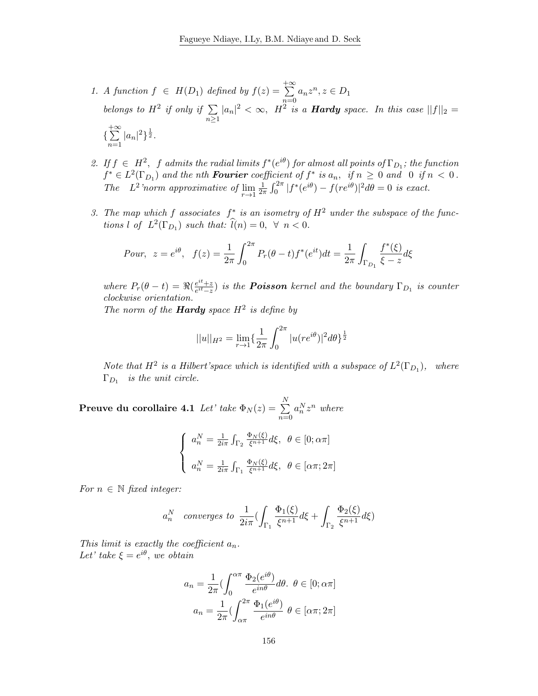- 1. A function  $f \in H(D_1)$  defined by  $f(z) = \sum_{n=1}^{+\infty}$  $n=0$  $a_n z^n, z \in D_1$ belongs to  $H^2$  if only if  $\Sigma$  $n\geq 1$  $|a_n|^2 < \infty$ ,  $H^2$  is a **Hardy** space. In this case  $||f||_2 =$  $\{\sum^{+\infty}$  $n=1$  $|a_n|^2\}^{\frac{1}{2}}.$
- 2. If  $f \in H^2$ , f admits the radial limits  $f^*(e^{i\theta})$  for almost all points of  $\Gamma_{D_1}$ ; the function  $f^* \in L^2(\Gamma_{D_1})$  and the nth **Fourier** coefficient of  $f^*$  is  $a_n$ , if  $n \geq 0$  and 0 if  $n < 0$ . The  $L^2$  norm approximative of  $\lim_{r\to 1}$ 1  $\frac{1}{2\pi} \int_0^{2\pi} |f^*(e^{i\theta}) - f(re^{i\theta})|^2 d\theta = 0$  is exact.
- 3. The map which f associates  $f^*$  is an isometry of  $H^2$  under the subspace of the functions l of  $L^2(\Gamma_{D_1})$  such that:  $\widehat{l}(n) = 0, \forall n < 0.$

*Pour*, 
$$
z = e^{i\theta}
$$
,  $f(z) = \frac{1}{2\pi} \int_0^{2\pi} P_r(\theta - t) f^*(e^{it}) dt = \frac{1}{2\pi} \int_{\Gamma_{D_1}} \frac{f^*(\xi)}{\xi - z} d\xi$ 

where  $P_r(\theta - t) = \Re(\frac{e^{it} + z}{e^{it} - z})$  $\frac{e^{it}+z}{e^{it}-z}$ ) is the **Poisson** kernel and the boundary  $\Gamma_{D_1}$  is counter clockwise orientation.

The norm of the **Hardy** space  $H^2$  is define by

$$
||u||_{H^2} = \lim_{r \to 1} \left\{ \frac{1}{2\pi} \int_0^{2\pi} |u(re^{i\theta})|^2 d\theta \right\}^{\frac{1}{2}}
$$

Note that  $H^2$  is a Hilbert'space which is identified with a subspace of  $L^2(\Gamma_{D_1})$ , where  $\Gamma_{D_1}$  is the unit circle.

 $\textbf{P} \textbf{reuve du corollaire 4.1 } \textit{Let'} \textit{take } \Phi_N(z) = \frac{N}{\sum_{i=1}^{N} \textit{let'}}$  $n=0$  $a_n^N z^n$  where

$$
\begin{cases}\na_n^N = \frac{1}{2i\pi} \int_{\Gamma_2} \frac{\Phi_N(\xi)}{\xi^{n+1}} d\xi, \ \theta \in [0; \alpha\pi] \\
a_n^N = \frac{1}{2i\pi} \int_{\Gamma_1} \frac{\Phi_N(\xi)}{\xi^{n+1}} d\xi, \ \theta \in [\alpha\pi; 2\pi]\n\end{cases}
$$

For  $n \in \mathbb{N}$  fixed integer:

$$
a_n^N
$$
 converges to  $\frac{1}{2i\pi} \left( \int_{\Gamma_1} \frac{\Phi_1(\xi)}{\xi^{n+1}} d\xi + \int_{\Gamma_2} \frac{\Phi_2(\xi)}{\xi^{n+1}} d\xi \right)$ 

This limit is exactly the coefficient  $a_n$ . Let' take  $\xi = e^{i\theta}$ , we obtain

$$
a_n = \frac{1}{2\pi} \left( \int_0^{\alpha \pi} \frac{\Phi_2(e^{i\theta})}{e^{in\theta}} d\theta, \ \theta \in [0; \alpha \pi] \right)
$$

$$
a_n = \frac{1}{2\pi} \left( \int_{\alpha \pi}^{2\pi} \frac{\Phi_1(e^{i\theta})}{e^{in\theta}} \ \theta \in [\alpha \pi; 2\pi] \right)
$$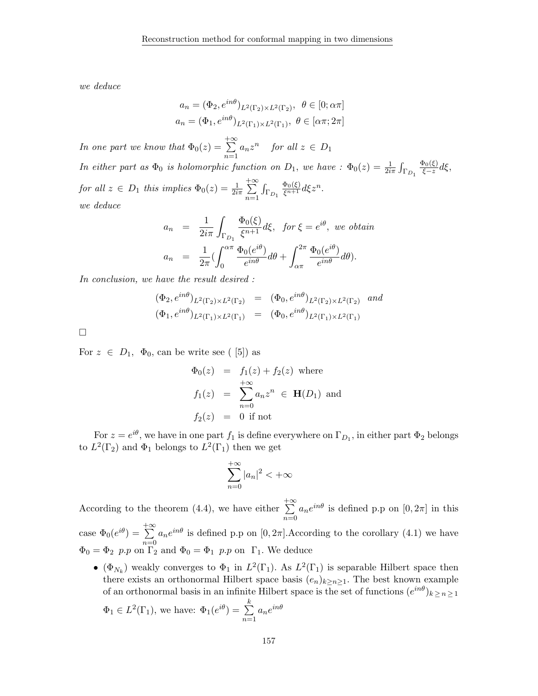we deduce

$$
a_n = (\Phi_2, e^{in\theta})_{L^2(\Gamma_2) \times L^2(\Gamma_2)}, \ \theta \in [0; \alpha \pi]
$$

$$
a_n = (\Phi_1, e^{in\theta})_{L^2(\Gamma_1) \times L^2(\Gamma_1)}, \ \theta \in [\alpha \pi; 2\pi]
$$

In one part we know that  $\Phi_0(z) =$  $+ \infty$  $n=1$  $a_n z^n$  for all  $z \in D_1$ In either part as  $\Phi_0$  is holomorphic function on  $D_1$ , we have :  $\Phi_0(z) = \frac{1}{2i\pi} \int_{\Gamma_{D_1}}$  $\Phi_0(\xi)$  $\frac{\log(x)}{\xi-z}d\xi,$ for all  $z \in D_1$  this implies  $\Phi_0(z) = \frac{1}{2i\pi}$  $+ \infty$  $n=1$  $\int_{\Gamma_{D_1}}$  $\frac{\Phi_0(\xi)}{\xi^{n+1}}d\xi z^n.$ we deduce

$$
a_n = \frac{1}{2i\pi} \int_{\Gamma_{D_1}} \frac{\Phi_0(\xi)}{\xi^{n+1}} d\xi, \text{ for } \xi = e^{i\theta}, \text{ we obtain}
$$

$$
a_n = \frac{1}{2\pi} \left( \int_0^{\alpha\pi} \frac{\Phi_0(e^{i\theta})}{e^{in\theta}} d\theta + \int_{\alpha\pi}^{2\pi} \frac{\Phi_0(e^{i\theta})}{e^{in\theta}} d\theta \right).
$$

In conclusion, we have the result desired :

$$
\begin{array}{rcl}\n(\Phi_2, e^{in\theta})_{L^2(\Gamma_2) \times L^2(\Gamma_2)} & = & (\Phi_0, e^{in\theta})_{L^2(\Gamma_2) \times L^2(\Gamma_2)} \quad \text{and} \\
(\Phi_1, e^{in\theta})_{L^2(\Gamma_1) \times L^2(\Gamma_1)} & = & (\Phi_0, e^{in\theta})_{L^2(\Gamma_1) \times L^2(\Gamma_1)}\n\end{array}
$$

 $\Box$ 

For  $z \in D_1$ ,  $\Phi_0$ , can be write see ([5]) as

$$
\Phi_0(z) = f_1(z) + f_2(z) \text{ where}
$$
\n
$$
f_1(z) = \sum_{n=0}^{+\infty} a_n z^n \in \mathbf{H}(D_1) \text{ and}
$$
\n
$$
f_2(z) = 0 \text{ if not}
$$

For  $z = e^{i\theta}$ , we have in one part  $f_1$  is define everywhere on  $\Gamma_{D_1}$ , in either part  $\Phi_2$  belongs to  $L^2(\Gamma_2)$  and  $\Phi_1$  belongs to  $L^2(\Gamma_1)$  then we get

$$
\sum_{n=0}^{+\infty} |a_n|^2 < +\infty
$$

According to the theorem (4.4), we have either  $+ \infty$  $n=0$  $a_n e^{in\theta}$  is defined p.p on  $[0, 2\pi]$  in this

case  $\Phi_0(e^{i\theta}) = \sum^{+\infty}$  $n=0$  $a_n e^{in\theta}$  is defined p.p on  $[0, 2\pi]$ . According to the corollary  $(4.1)$  we have  $\Phi_0 = \Phi_2$  p.p on  $\overline{\Gamma_2}$  and  $\Phi_0 = \Phi_1$  p.p on  $\Gamma_1$ . We deduce

• ( $\Phi_{N_k}$ ) weakly converges to  $\Phi_1$  in  $L^2(\Gamma_1)$ . As  $L^2(\Gamma_1)$  is separable Hilbert space then there exists an orthonormal Hilbert space basis  $(e_n)_{k\geq n\geq 1}$ . The best known example of an orthonormal basis in an infinite Hilbert space is the set of functions  $(e^{in\theta})_{k\geq n\geq 1}$  $\Phi$ k  $\theta$ 

$$
\Phi_1 \in L^2(\Gamma_1)
$$
, we have:  $\Phi_1(e^{i\theta}) = \sum_{n=1}^{\infty} a_n e^{in}$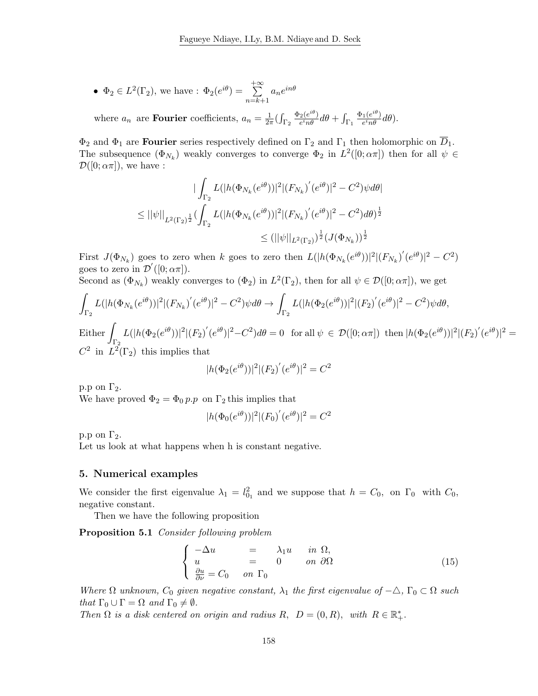• 
$$
\Phi_2 \in L^2(\Gamma_2)
$$
, we have :  $\Phi_2(e^{i\theta}) = \sum_{n=k+1}^{+\infty} a_n e^{in\theta}$ 

where  $a_n$  are **Fourier** coefficients,  $a_n = \frac{1}{2i}$  $\frac{1}{2\pi}(\int_{\Gamma_2}$  $\Phi_2(e^{i\theta})$  $\frac{e^{i}e^{i\theta}}{e^{i}n\theta}d\theta+\int_{\Gamma_1}$  $\Phi_1(e^{i\theta})$  $\frac{1(e^{i\theta})}{e^i n\theta}d\theta$ ).

 $\Phi_2$  and  $\Phi_1$  are **Fourier** series respectively defined on  $\Gamma_2$  and  $\Gamma_1$  then holomorphic on  $\overline{D}_1$ . The subsequence  $(\Phi_{N_k})$  weakly converges to converge  $\Phi_2$  in  $L^2([0;\alpha\pi])$  then for all  $\psi \in$  $\mathcal{D}([0;\alpha\pi])$ , we have :

$$
\begin{aligned} \vert \int_{\Gamma_2} L(\vert h(\Phi_{N_k}(e^{i\theta})) \vert^2 \vert (F_{N_k})'(e^{i\theta}) \vert^2 - C^2) \psi d\theta \vert \\ \leq \vert \vert \psi \vert \vert_{L^2(\Gamma_2)^{\frac{1}{2}}} (\int_{\Gamma_2} L(\vert h(\Phi_{N_k}(e^{i\theta})) \vert^2 \vert (F_{N_k})'(e^{i\theta}) \vert^2 - C^2) d\theta)^{\frac{1}{2}} \\ \leq (\vert \vert \psi \vert \vert_{L^2(\Gamma_2)})^{\frac{1}{2}} (J(\Phi_{N_k}))^{\frac{1}{2}} \end{aligned}
$$

First  $J(\Phi_{N_k})$  goes to zero when k goes to zero then  $L(|h(\Phi_{N_k}(e^{i\theta}))|^2|(F_{N_k})'(e^{i\theta})|^2 - C^2)$ goes to zero in  $\mathcal{D}'([0;\alpha\pi]).$ 

Second as  $(\Phi_{N_k})$  weakly converges to  $(\Phi_2)$  in  $L^2(\Gamma_2)$ , then for all  $\psi \in \mathcal{D}([0;\alpha \pi])$ , we get

$$
\int_{\Gamma_2} L(|h(\Phi_{N_k}(e^{i\theta}))|^2 |(F_{N_k})'(e^{i\theta})|^2 - C^2) \psi d\theta \to \int_{\Gamma_2} L(|h(\Phi_2(e^{i\theta}))|^2 |(F_2)'(e^{i\theta})|^2 - C^2) \psi d\theta,
$$

Either  $\Gamma_2$  $L(|h(\Phi_2(e^{i\theta}))|^2|(F_2)'(e^{i\theta})|^2-C^2)d\theta=0$  for all  $\psi \in \mathcal{D}([0;\alpha\pi])$  then  $|h(\Phi_2(e^{i\theta}))|^2|(F_2)'(e^{i\theta})|^2=$  $C^2$  in  $L^2(\Gamma_2)$  this implies that

$$
|h(\Phi_2(e^{i\theta}))|^2|(F_2)'(e^{i\theta})|^2 = C^2
$$

p.p on  $\Gamma_2$ .

We have proved  $\Phi_2 = \Phi_0 p.p$  on  $\Gamma_2$  this implies that

$$
|h(\Phi_0(e^{i\theta}))|^2 |(F_0)'(e^{i\theta})|^2 = C^2
$$

p.p on  $\Gamma_2$ .

Let us look at what happens when h is constant negative.

#### 5. Numerical examples

We consider the first eigenvalue  $\lambda_1 = l_{0_1}^2$  and we suppose that  $h = C_0$ , on  $\Gamma_0$  with  $C_0$ , negative constant.

Then we have the following proposition

Proposition 5.1 Consider following problem

$$
\begin{cases}\n-\Delta u &= \lambda_1 u \quad in \ \Omega, \\
u &= 0 \quad on \ \partial\Omega \\
\frac{\partial u}{\partial \nu} = C_0 \quad on \ \Gamma_0\n\end{cases}
$$
\n(15)

Where  $\Omega$  unknown,  $C_0$  given negative constant,  $\lambda_1$  the first eigenvalue of  $-\triangle$ ,  $\Gamma_0 \subset \Omega$  such that  $\Gamma_0 \cup \Gamma = \Omega$  and  $\Gamma_0 \neq \emptyset$ .

Then  $\Omega$  is a disk centered on origin and radius  $R$ ,  $D = (0, R)$ , with  $R \in \mathbb{R}_+^*$ .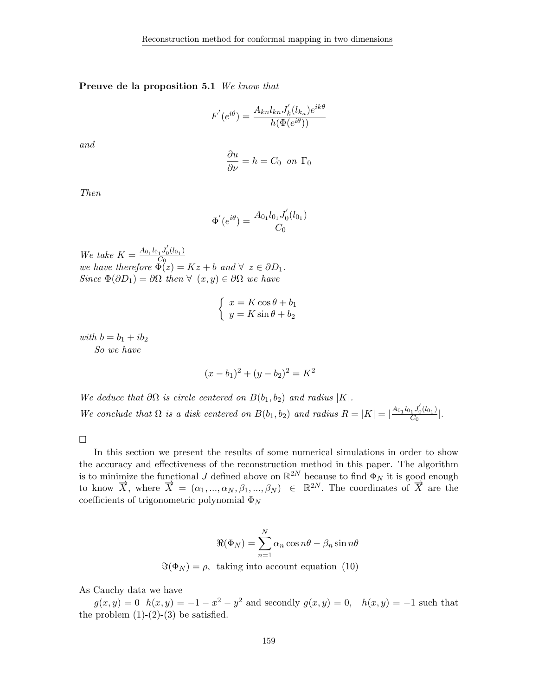#### Preuve de la proposition 5.1 We know that

$$
F'(e^{i\theta}) = \frac{A_{kn}l_{kn}J'_k(l_{k_n})e^{ik\theta}}{h(\Phi(e^{i\theta}))}
$$

and

$$
\frac{\partial u}{\partial \nu} = h = C_0 \text{ on } \Gamma_0
$$

Then

$$
\Phi'(e^{i\theta}) = \frac{A_{0_1}l_{0_1}J'_0(l_{0_1})}{C_0}
$$

We take  $K = \frac{A_{01}l_{01}J_0'(l_{01})}{C_0}$ we take  $K = \frac{C_0}{C_0}$ <br>we have therefore  $\Phi(z) = Kz + b$  and  $\forall z \in \partial D_1$ . Since  $\Phi(\partial D_1) = \partial \Omega$  then  $\forall (x, y) \in \partial \Omega$  we have

$$
\begin{cases}\n x = K \cos \theta + b_1 \\
 y = K \sin \theta + b_2\n\end{cases}
$$

with  $b = b_1 + ib_2$ So we have

$$
(x - b1)2 + (y - b2)2 = K2
$$

We deduce that  $\partial\Omega$  is circle centered on  $B(b_1, b_2)$  and radius |K|. We conclude that  $\Omega$  is a disk centered on  $B(b_1, b_2)$  and radius  $R = |K| = \frac{A_{0_1}l_{0_1}J_0'(l_{0_1})}{C_0}$  $\frac{1^{J_0(\ell_0)}L}{C_0}$ .

 $\Box$ 

In this section we present the results of some numerical simulations in order to show the accuracy and effectiveness of the reconstruction method in this paper. The algorithm is to minimize the functional J defined above on  $\mathbb{R}^{2N}$  because to find  $\Phi_N$  it is good enough to know  $\vec{X}$ , where  $\vec{X} = (\alpha_1, ..., \alpha_N, \beta_1, ..., \beta_N) \in \mathbb{R}^{2N}$ . The coordinates of  $\vec{X}$  are the coefficients of trigonometric polynomial  $\Phi_N$ 

$$
\Re(\Phi_N) = \sum_{n=1}^N \alpha_n \cos n\theta - \beta_n \sin n\theta
$$
  

$$
\Im(\Phi_N) = \rho, \text{ taking into account equation (10)}
$$

As Cauchy data we have

 $g(x, y) = 0$   $h(x, y) = -1 - x^2 - y^2$  and secondly  $g(x, y) = 0$ ,  $h(x, y) = -1$  such that the problem  $(1)-(2)-(3)$  be satisfied.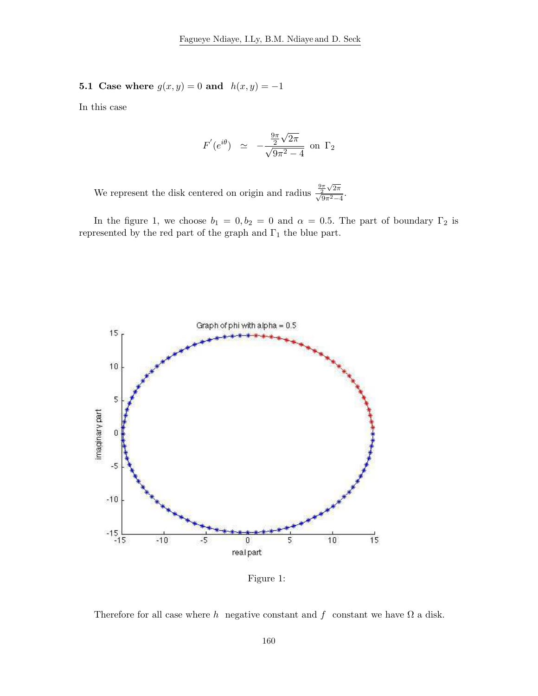# 5.1 Case where  $g(x, y) = 0$  and  $h(x, y) = -1$

In this case

$$
F'(e^{i\theta}) \simeq -\frac{\frac{9\pi}{2}\sqrt{2\pi}}{\sqrt{9\pi^2-4}}
$$
 on  $\Gamma_2$ 

We represent the disk centered on origin and radius  $\frac{9\pi}{\sqrt{2}}$  $\frac{\frac{9\pi}{2}\sqrt{2\pi}}{\sqrt{9\pi^2-4}}.$ 

In the figure 1, we choose  $b_1 = 0, b_2 = 0$  and  $\alpha = 0.5$ . The part of boundary  $\Gamma_2$  is represented by the red part of the graph and  $\Gamma_1$  the blue part.



Figure 1:

Therefore for all case where h negative constant and f constant we have  $\Omega$  a disk.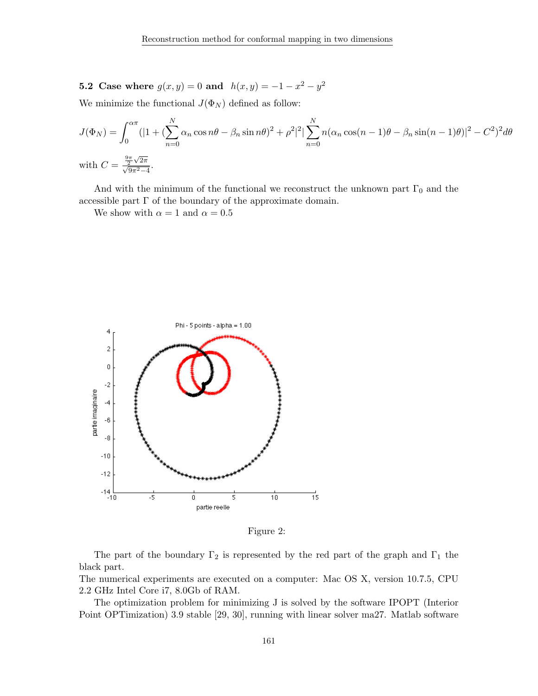**5.2** Case where  $g(x, y) = 0$  and  $h(x, y) = -1 - x^2 - y^2$ 

We minimize the functional  $J(\Phi_N)$  defined as follow:

$$
J(\Phi_N) = \int_0^{\alpha \pi} (|1 + (\sum_{n=0}^N \alpha_n \cos n\theta - \beta_n \sin n\theta)^2 + \rho^2|^2 |\sum_{n=0}^N n(\alpha_n \cos(n-1)\theta - \beta_n \sin(n-1)\theta)|^2 - C^2)^2 d\theta
$$
  
with 
$$
C = \frac{\frac{9\pi}{2}\sqrt{2\pi}}{\sqrt{9\pi^2 - 4}}.
$$

And with the minimum of the functional we reconstruct the unknown part  $\Gamma_0$  and the accessible part  $\Gamma$  of the boundary of the approximate domain.

We show with  $\alpha = 1$  and  $\alpha = 0.5$ 



Figure 2:

The part of the boundary  $\Gamma_2$  is represented by the red part of the graph and  $\Gamma_1$  the black part.

The numerical experiments are executed on a computer: Mac OS X, version 10.7.5, CPU 2.2 GHz Intel Core i7, 8.0Gb of RAM.

The optimization problem for minimizing J is solved by the software IPOPT (Interior Point OPTimization) 3.9 stable [29, 30], running with linear solver ma27. Matlab software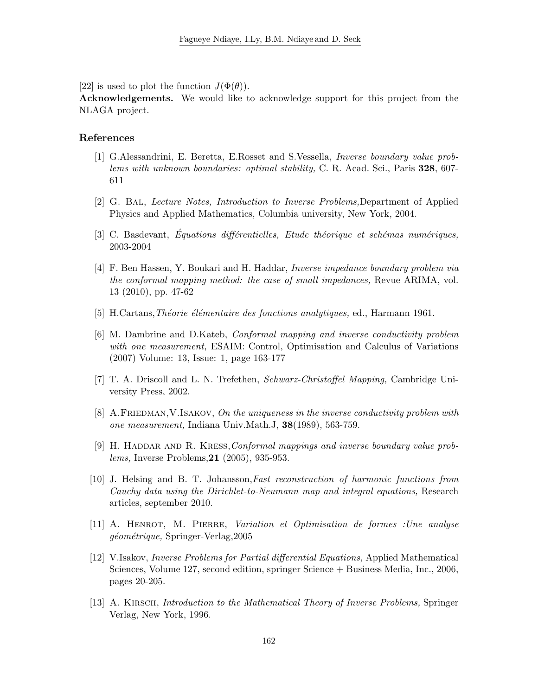[22] is used to plot the function  $J(\Phi(\theta))$ .

Acknowledgements. We would like to acknowledge support for this project from the NLAGA project.

#### References

- [1] G.Alessandrini, E. Beretta, E.Rosset and S.Vessella, Inverse boundary value problems with unknown boundaries: optimal stability, C. R. Acad. Sci., Paris 328, 607- 611
- [2] G. Bal, Lecture Notes, Introduction to Inverse Problems,Department of Applied Physics and Applied Mathematics, Columbia university, New York, 2004.
- [3] C. Basdevant, Équations différentielles, Etude théorique et schémas numériques, 2003-2004
- [4] F. Ben Hassen, Y. Boukari and H. Haddar, Inverse impedance boundary problem via the conformal mapping method: the case of small impedances, Revue ARIMA, vol. 13 (2010), pp. 47-62
- [5] H.Cartans, Théorie élémentaire des fonctions analytiques, ed., Harmann 1961.
- [6] M. Dambrine and D.Kateb, Conformal mapping and inverse conductivity problem with one measurement, ESAIM: Control, Optimisation and Calculus of Variations (2007) Volume: 13, Issue: 1, page 163-177
- [7] T. A. Driscoll and L. N. Trefethen, Schwarz-Christoffel Mapping, Cambridge University Press, 2002.
- [8] A.FRIEDMAN, V.ISAKOV, On the uniqueness in the inverse conductivity problem with one measurement, Indiana Univ.Math.J, 38(1989), 563-759.
- [9] H. HADDAR AND R. KRESS, Conformal mappings and inverse boundary value problems, Inverse Problems,21 (2005), 935-953.
- [10] J. Helsing and B. T. Johansson,Fast reconstruction of harmonic functions from Cauchy data using the Dirichlet-to-Neumann map and integral equations, Research articles, september 2010.
- [11] A. Henrot, M. Pierre, Variation et Optimisation de formes :Une analyse géométrique, Springer-Verlag, 2005
- [12] V.Isakov, Inverse Problems for Partial differential Equations, Applied Mathematical Sciences, Volume 127, second edition, springer Science + Business Media, Inc., 2006, pages 20-205.
- [13] A. KIRSCH, *Introduction to the Mathematical Theory of Inverse Problems*, Springer Verlag, New York, 1996.